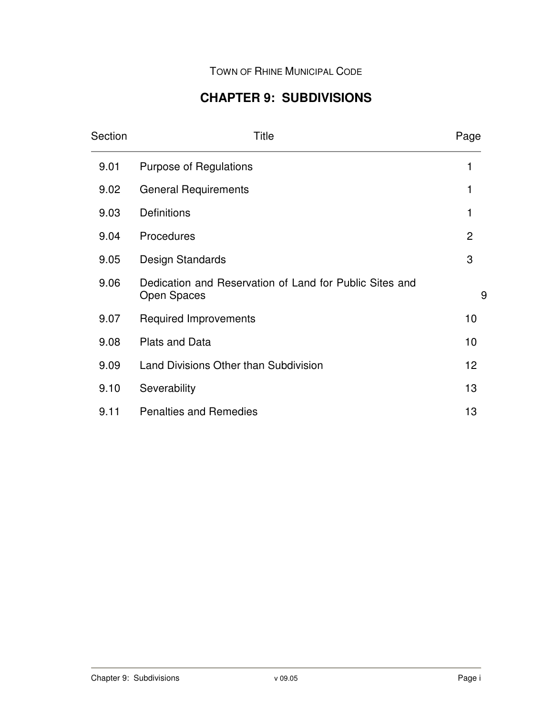TOWN OF RHINE MUNICIPAL CODE

# **CHAPTER 9: SUBDIVISIONS**

| Section | <b>Title</b>                                                           | Page           |
|---------|------------------------------------------------------------------------|----------------|
| 9.01    | <b>Purpose of Regulations</b>                                          |                |
| 9.02    | <b>General Requirements</b>                                            |                |
| 9.03    | <b>Definitions</b>                                                     | 1              |
| 9.04    | Procedures                                                             | $\overline{2}$ |
| 9.05    | Design Standards                                                       | 3              |
| 9.06    | Dedication and Reservation of Land for Public Sites and<br>Open Spaces | 9              |
| 9.07    | Required Improvements                                                  | 10             |
| 9.08    | <b>Plats and Data</b>                                                  | 10             |
| 9.09    | Land Divisions Other than Subdivision                                  | 12             |
| 9.10    | Severability                                                           | 13             |
| 9.11    | <b>Penalties and Remedies</b>                                          | 13             |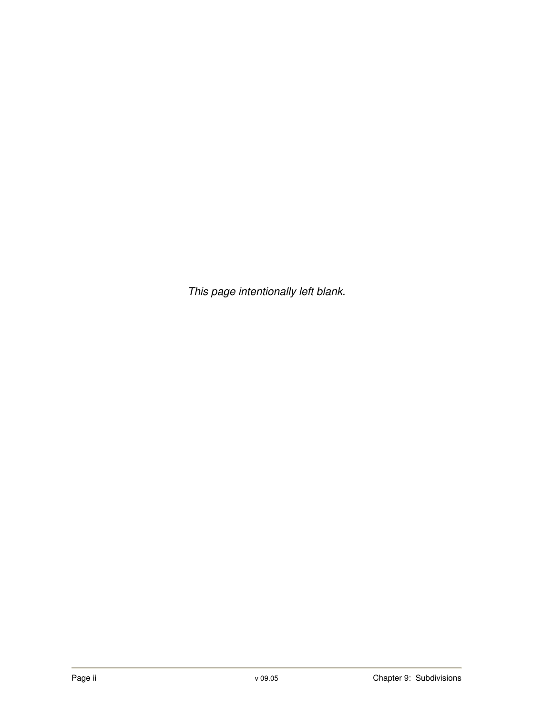This page intentionally left blank.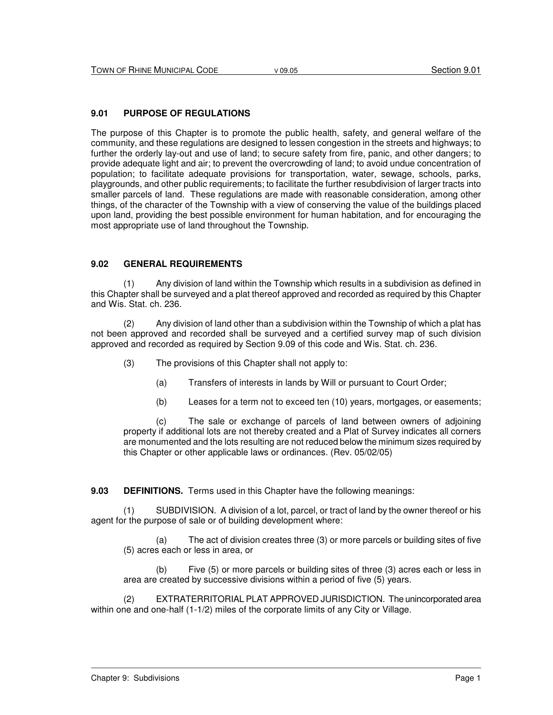### **9.01 PURPOSE OF REGULATIONS**

The purpose of this Chapter is to promote the public health, safety, and general welfare of the community, and these regulations are designed to lessen congestion in the streets and highways; to further the orderly lay-out and use of land; to secure safety from fire, panic, and other dangers; to provide adequate light and air; to prevent the overcrowding of land; to avoid undue concentration of population; to facilitate adequate provisions for transportation, water, sewage, schools, parks, playgrounds, and other public requirements; to facilitate the further resubdivision of larger tracts into smaller parcels of land. These regulations are made with reasonable consideration, among other things, of the character of the Township with a view of conserving the value of the buildings placed upon land, providing the best possible environment for human habitation, and for encouraging the most appropriate use of land throughout the Township.

### **9.02 GENERAL REQUIREMENTS**

 (1) Any division of land within the Township which results in a subdivision as defined in this Chapter shall be surveyed and a plat thereof approved and recorded as required by this Chapter and Wis. Stat. ch. 236.

(2) Any division of land other than a subdivision within the Township of which a plat has not been approved and recorded shall be surveyed and a certified survey map of such division approved and recorded as required by Section 9.09 of this code and Wis. Stat. ch. 236.

- (3) The provisions of this Chapter shall not apply to:
	- (a) Transfers of interests in lands by Will or pursuant to Court Order;
	- (b) Leases for a term not to exceed ten (10) years, mortgages, or easements;

(c) The sale or exchange of parcels of land between owners of adjoining property if additional lots are not thereby created and a Plat of Survey indicates all corners are monumented and the lots resulting are not reduced below the minimum sizes required by this Chapter or other applicable laws or ordinances. (Rev. 05/02/05)

**9.03 DEFINITIONS.** Terms used in this Chapter have the following meanings:

(1) SUBDIVISION. A division of a lot, parcel, or tract of land by the owner thereof or his agent for the purpose of sale or of building development where:

(a) The act of division creates three (3) or more parcels or building sites of five (5) acres each or less in area, or

(b) Five (5) or more parcels or building sites of three (3) acres each or less in area are created by successive divisions within a period of five (5) years.

(2) EXTRATERRITORIAL PLAT APPROVED JURISDICTION. The unincorporated area within one and one-half (1-1/2) miles of the corporate limits of any City or Village.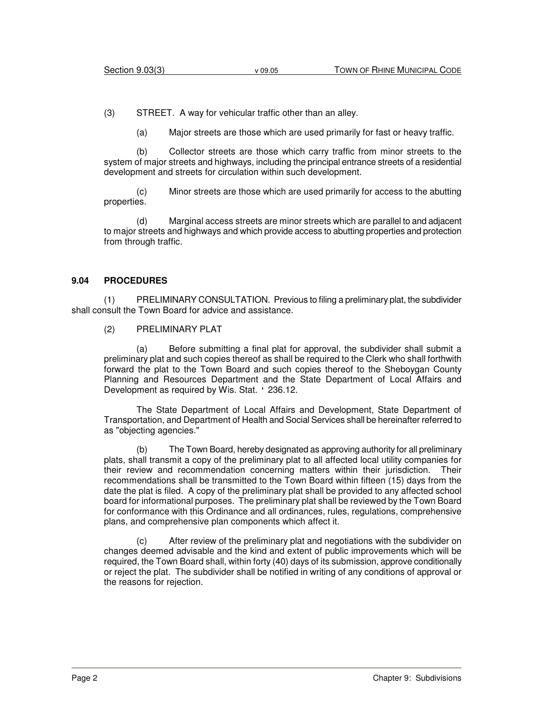(3) STREET. A way for vehicular traffic other than an alley.

(a) Major streets are those which are used primarily for fast or heavy traffic.

(b) Collector streets are those which carry traffic from minor streets to the system of major streets and highways, including the principal entrance streets of a residential development and streets for circulation within such development.

(c) Minor streets are those which are used primarily for access to the abutting properties.

(d) Marginal access streets are minor streets which are parallel to and adjacent to major streets and highways and which provide access to abutting properties and protection from through traffic.

## **9.04 PROCEDURES**

(1) PRELIMINARY CONSULTATION. Previous to filing a preliminary plat, the subdivider shall consult the Town Board for advice and assistance.

#### (2) PRELIMINARY PLAT

(a) Before submitting a final plat for approval, the subdivider shall submit a preliminary plat and such copies thereof as shall be required to the Clerk who shall forthwith forward the plat to the Town Board and such copies thereof to the Sheboygan County Planning and Resources Department and the State Department of Local Affairs and Development as required by Wis. Stat. ' 236.12.

The State Department of Local Affairs and Development, State Department of Transportation, and Department of Health and Social Services shall be hereinafter referred to as "objecting agencies."

(b) The Town Board, hereby designated as approving authority for all preliminary plats, shall transmit a copy of the preliminary plat to all affected local utility companies for their review and recommendation concerning matters within their jurisdiction. Their recommendations shall be transmitted to the Town Board within fifteen (15) days from the date the plat is filed. A copy of the preliminary plat shall be provided to any affected school board for informational purposes. The preliminary plat shall be reviewed by the Town Board for conformance with this Ordinance and all ordinances, rules, regulations, comprehensive plans, and comprehensive plan components which affect it.

(c) After review of the preliminary plat and negotiations with the subdivider on changes deemed advisable and the kind and extent of public improvements which will be required, the Town Board shall, within forty (40) days of its submission, approve conditionally or reject the plat. The subdivider shall be notified in writing of any conditions of approval or the reasons for rejection.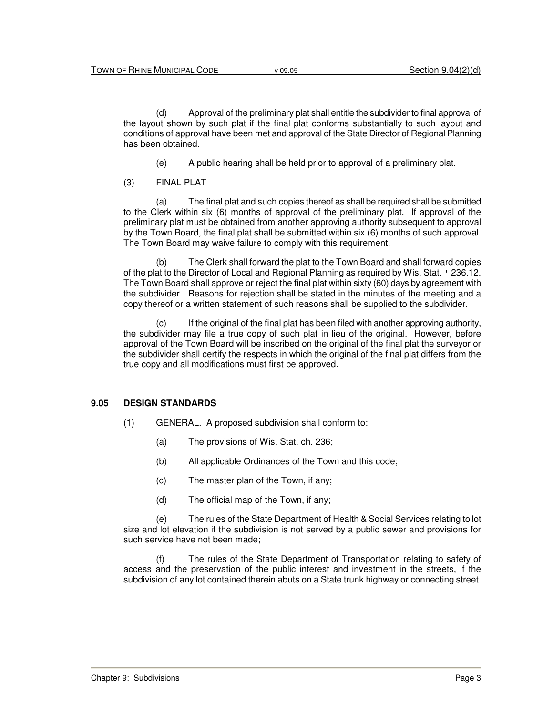(d) Approval of the preliminary plat shall entitle the subdivider to final approval of the layout shown by such plat if the final plat conforms substantially to such layout and conditions of approval have been met and approval of the State Director of Regional Planning has been obtained.

- (e) A public hearing shall be held prior to approval of a preliminary plat.
- (3) FINAL PLAT

(a) The final plat and such copies thereof as shall be required shall be submitted to the Clerk within six (6) months of approval of the preliminary plat. If approval of the preliminary plat must be obtained from another approving authority subsequent to approval by the Town Board, the final plat shall be submitted within six (6) months of such approval. The Town Board may waive failure to comply with this requirement.

The Clerk shall forward the plat to the Town Board and shall forward copies of the plat to the Director of Local and Regional Planning as required by Wis. Stat. ' 236.12. The Town Board shall approve or reject the final plat within sixty (60) days by agreement with the subdivider. Reasons for rejection shall be stated in the minutes of the meeting and a copy thereof or a written statement of such reasons shall be supplied to the subdivider.

(c) If the original of the final plat has been filed with another approving authority, the subdivider may file a true copy of such plat in lieu of the original. However, before approval of the Town Board will be inscribed on the original of the final plat the surveyor or the subdivider shall certify the respects in which the original of the final plat differs from the true copy and all modifications must first be approved.

#### **9.05 DESIGN STANDARDS**

- (1) GENERAL. A proposed subdivision shall conform to:
	- (a) The provisions of Wis. Stat. ch. 236;
	- (b) All applicable Ordinances of the Town and this code;
	- (c) The master plan of the Town, if any;
	- (d) The official map of the Town, if any;

(e) The rules of the State Department of Health & Social Services relating to lot size and lot elevation if the subdivision is not served by a public sewer and provisions for such service have not been made;

(f) The rules of the State Department of Transportation relating to safety of access and the preservation of the public interest and investment in the streets, if the subdivision of any lot contained therein abuts on a State trunk highway or connecting street.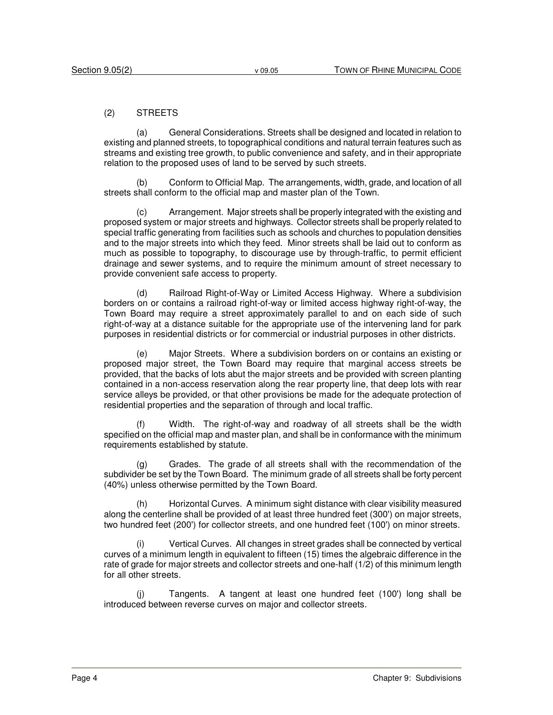## (2) STREETS

(a) General Considerations. Streets shall be designed and located in relation to existing and planned streets, to topographical conditions and natural terrain features such as streams and existing tree growth, to public convenience and safety, and in their appropriate relation to the proposed uses of land to be served by such streets.

(b) Conform to Official Map. The arrangements, width, grade, and location of all streets shall conform to the official map and master plan of the Town.

(c) Arrangement. Major streets shall be properly integrated with the existing and proposed system or major streets and highways. Collector streets shall be properly related to special traffic generating from facilities such as schools and churches to population densities and to the major streets into which they feed. Minor streets shall be laid out to conform as much as possible to topography, to discourage use by through-traffic, to permit efficient drainage and sewer systems, and to require the minimum amount of street necessary to provide convenient safe access to property.

(d) Railroad Right-of-Way or Limited Access Highway. Where a subdivision borders on or contains a railroad right-of-way or limited access highway right-of-way, the Town Board may require a street approximately parallel to and on each side of such right-of-way at a distance suitable for the appropriate use of the intervening land for park purposes in residential districts or for commercial or industrial purposes in other districts.

(e) Major Streets. Where a subdivision borders on or contains an existing or proposed major street, the Town Board may require that marginal access streets be provided, that the backs of lots abut the major streets and be provided with screen planting contained in a non-access reservation along the rear property line, that deep lots with rear service alleys be provided, or that other provisions be made for the adequate protection of residential properties and the separation of through and local traffic.

(f) Width. The right-of-way and roadway of all streets shall be the width specified on the official map and master plan, and shall be in conformance with the minimum requirements established by statute.

(g) Grades. The grade of all streets shall with the recommendation of the subdivider be set by the Town Board. The minimum grade of all streets shall be forty percent (40%) unless otherwise permitted by the Town Board.

(h) Horizontal Curves. A minimum sight distance with clear visibility measured along the centerline shall be provided of at least three hundred feet (300') on major streets, two hundred feet (200') for collector streets, and one hundred feet (100') on minor streets.

(i) Vertical Curves. All changes in street grades shall be connected by vertical curves of a minimum length in equivalent to fifteen (15) times the algebraic difference in the rate of grade for major streets and collector streets and one-half (1/2) of this minimum length for all other streets.

(j) Tangents. A tangent at least one hundred feet (100') long shall be introduced between reverse curves on major and collector streets.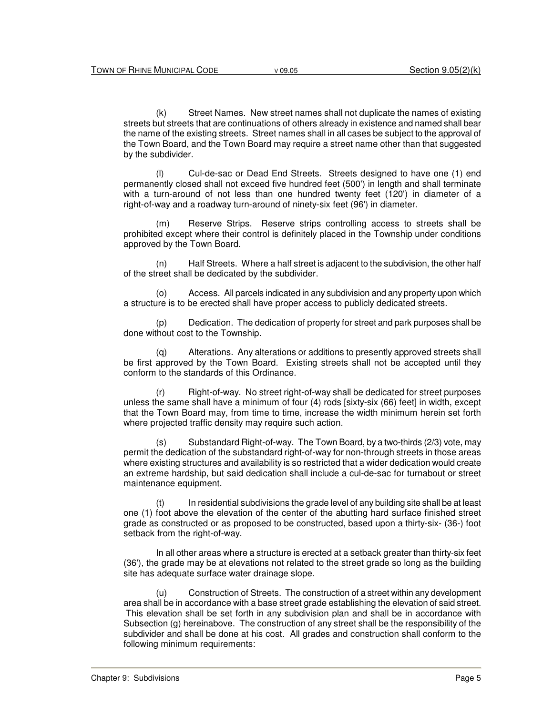(k) Street Names. New street names shall not duplicate the names of existing streets but streets that are continuations of others already in existence and named shall bear the name of the existing streets. Street names shall in all cases be subject to the approval of the Town Board, and the Town Board may require a street name other than that suggested by the subdivider.

(l) Cul-de-sac or Dead End Streets. Streets designed to have one (1) end permanently closed shall not exceed five hundred feet (500') in length and shall terminate with a turn-around of not less than one hundred twenty feet (120') in diameter of a right-of-way and a roadway turn-around of ninety-six feet (96') in diameter.

(m) Reserve Strips. Reserve strips controlling access to streets shall be prohibited except where their control is definitely placed in the Township under conditions approved by the Town Board.

(n) Half Streets. Where a half street is adjacent to the subdivision, the other half of the street shall be dedicated by the subdivider.

(o) Access. All parcels indicated in any subdivision and any property upon which a structure is to be erected shall have proper access to publicly dedicated streets.

(p) Dedication. The dedication of property for street and park purposes shall be done without cost to the Township.

(q) Alterations. Any alterations or additions to presently approved streets shall be first approved by the Town Board. Existing streets shall not be accepted until they conform to the standards of this Ordinance.

(r) Right-of-way. No street right-of-way shall be dedicated for street purposes unless the same shall have a minimum of four (4) rods [sixty-six (66) feet] in width, except that the Town Board may, from time to time, increase the width minimum herein set forth where projected traffic density may require such action.

(s) Substandard Right-of-way. The Town Board, by a two-thirds (2/3) vote, may permit the dedication of the substandard right-of-way for non-through streets in those areas where existing structures and availability is so restricted that a wider dedication would create an extreme hardship, but said dedication shall include a cul-de-sac for turnabout or street maintenance equipment.

(t) In residential subdivisions the grade level of any building site shall be at least one (1) foot above the elevation of the center of the abutting hard surface finished street grade as constructed or as proposed to be constructed, based upon a thirty-six- (36-) foot setback from the right-of-way.

In all other areas where a structure is erected at a setback greater than thirty-six feet (36'), the grade may be at elevations not related to the street grade so long as the building site has adequate surface water drainage slope.

(u) Construction of Streets. The construction of a street within any development area shall be in accordance with a base street grade establishing the elevation of said street. This elevation shall be set forth in any subdivision plan and shall be in accordance with Subsection (g) hereinabove. The construction of any street shall be the responsibility of the subdivider and shall be done at his cost. All grades and construction shall conform to the following minimum requirements: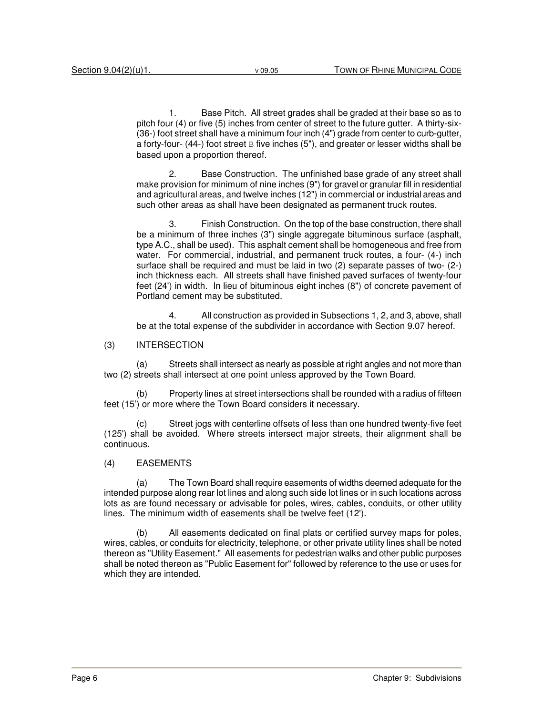1. Base Pitch. All street grades shall be graded at their base so as to pitch four (4) or five (5) inches from center of street to the future gutter. A thirty-six- (36-) foot street shall have a minimum four inch (4") grade from center to curb-gutter, a forty-four- (44-) foot street  $\overline{B}$  five inches (5"), and greater or lesser widths shall be based upon a proportion thereof.

2. Base Construction. The unfinished base grade of any street shall make provision for minimum of nine inches (9") for gravel or granular fill in residential and agricultural areas, and twelve inches (12") in commercial or industrial areas and such other areas as shall have been designated as permanent truck routes.

3. Finish Construction. On the top of the base construction, there shall be a minimum of three inches (3") single aggregate bituminous surface (asphalt, type A.C., shall be used). This asphalt cement shall be homogeneous and free from water. For commercial, industrial, and permanent truck routes, a four- (4-) inch surface shall be required and must be laid in two (2) separate passes of two- (2-) inch thickness each. All streets shall have finished paved surfaces of twenty-four feet (24') in width. In lieu of bituminous eight inches (8") of concrete pavement of Portland cement may be substituted.

4. All construction as provided in Subsections 1, 2, and 3, above, shall be at the total expense of the subdivider in accordance with Section 9.07 hereof.

## (3) INTERSECTION

(a) Streets shall intersect as nearly as possible at right angles and not more than two (2) streets shall intersect at one point unless approved by the Town Board.

(b) Property lines at street intersections shall be rounded with a radius of fifteen feet (15') or more where the Town Board considers it necessary.

(c) Street jogs with centerline offsets of less than one hundred twenty-five feet (125') shall be avoided. Where streets intersect major streets, their alignment shall be continuous.

#### (4) EASEMENTS

(a) The Town Board shall require easements of widths deemed adequate for the intended purpose along rear lot lines and along such side lot lines or in such locations across lots as are found necessary or advisable for poles, wires, cables, conduits, or other utility lines. The minimum width of easements shall be twelve feet (12').

(b) All easements dedicated on final plats or certified survey maps for poles, wires, cables, or conduits for electricity, telephone, or other private utility lines shall be noted thereon as "Utility Easement." All easements for pedestrian walks and other public purposes shall be noted thereon as "Public Easement for" followed by reference to the use or uses for which they are intended.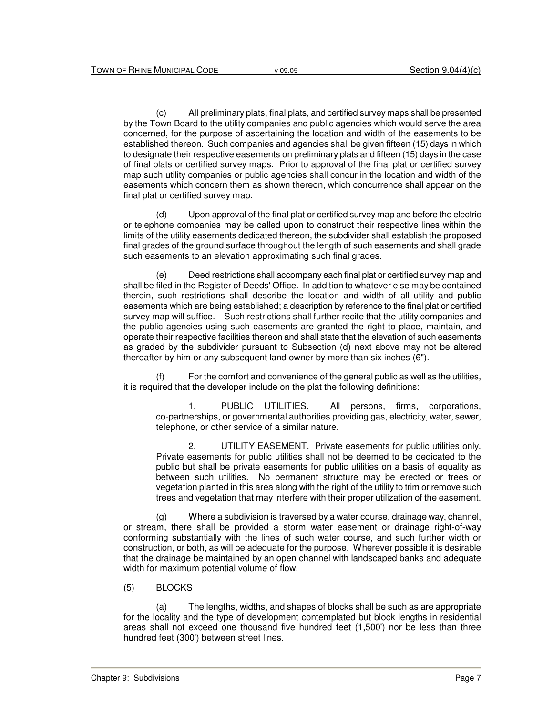(c) All preliminary plats, final plats, and certified survey maps shall be presented by the Town Board to the utility companies and public agencies which would serve the area concerned, for the purpose of ascertaining the location and width of the easements to be established thereon. Such companies and agencies shall be given fifteen (15) days in which to designate their respective easements on preliminary plats and fifteen (15) days in the case of final plats or certified survey maps. Prior to approval of the final plat or certified survey map such utility companies or public agencies shall concur in the location and width of the easements which concern them as shown thereon, which concurrence shall appear on the final plat or certified survey map.

(d) Upon approval of the final plat or certified survey map and before the electric or telephone companies may be called upon to construct their respective lines within the limits of the utility easements dedicated thereon, the subdivider shall establish the proposed final grades of the ground surface throughout the length of such easements and shall grade such easements to an elevation approximating such final grades.

(e) Deed restrictions shall accompany each final plat or certified survey map and shall be filed in the Register of Deeds' Office. In addition to whatever else may be contained therein, such restrictions shall describe the location and width of all utility and public easements which are being established; a description by reference to the final plat or certified survey map will suffice. Such restrictions shall further recite that the utility companies and the public agencies using such easements are granted the right to place, maintain, and operate their respective facilities thereon and shall state that the elevation of such easements as graded by the subdivider pursuant to Subsection (d) next above may not be altered thereafter by him or any subsequent land owner by more than six inches (6").

For the comfort and convenience of the general public as well as the utilities, it is required that the developer include on the plat the following definitions:

1. PUBLIC UTILITIES. All persons, firms, corporations, co-partnerships, or governmental authorities providing gas, electricity, water, sewer, telephone, or other service of a similar nature.

2. UTILITY EASEMENT. Private easements for public utilities only. Private easements for public utilities shall not be deemed to be dedicated to the public but shall be private easements for public utilities on a basis of equality as between such utilities. No permanent structure may be erected or trees or vegetation planted in this area along with the right of the utility to trim or remove such trees and vegetation that may interfere with their proper utilization of the easement.

(g) Where a subdivision is traversed by a water course, drainage way, channel, or stream, there shall be provided a storm water easement or drainage right-of-way conforming substantially with the lines of such water course, and such further width or construction, or both, as will be adequate for the purpose. Wherever possible it is desirable that the drainage be maintained by an open channel with landscaped banks and adequate width for maximum potential volume of flow.

## (5) BLOCKS

(a) The lengths, widths, and shapes of blocks shall be such as are appropriate for the locality and the type of development contemplated but block lengths in residential areas shall not exceed one thousand five hundred feet (1,500') nor be less than three hundred feet (300') between street lines.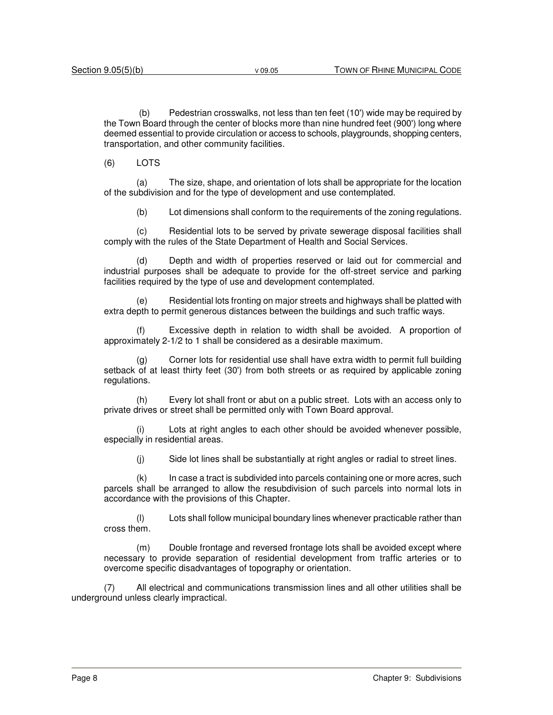(b) Pedestrian crosswalks, not less than ten feet (10') wide may be required by the Town Board through the center of blocks more than nine hundred feet (900') long where deemed essential to provide circulation or access to schools, playgrounds, shopping centers, transportation, and other community facilities.

(6) LOTS

(a) The size, shape, and orientation of lots shall be appropriate for the location of the subdivision and for the type of development and use contemplated.

(b) Lot dimensions shall conform to the requirements of the zoning regulations.

(c) Residential lots to be served by private sewerage disposal facilities shall comply with the rules of the State Department of Health and Social Services.

(d) Depth and width of properties reserved or laid out for commercial and industrial purposes shall be adequate to provide for the off-street service and parking facilities required by the type of use and development contemplated.

(e) Residential lots fronting on major streets and highways shall be platted with extra depth to permit generous distances between the buildings and such traffic ways.

(f) Excessive depth in relation to width shall be avoided. A proportion of approximately 2-1/2 to 1 shall be considered as a desirable maximum.

(g) Corner lots for residential use shall have extra width to permit full building setback of at least thirty feet (30') from both streets or as required by applicable zoning regulations.

(h) Every lot shall front or abut on a public street. Lots with an access only to private drives or street shall be permitted only with Town Board approval.

(i) Lots at right angles to each other should be avoided whenever possible, especially in residential areas.

(j) Side lot lines shall be substantially at right angles or radial to street lines.

(k) In case a tract is subdivided into parcels containing one or more acres, such parcels shall be arranged to allow the resubdivision of such parcels into normal lots in accordance with the provisions of this Chapter.

(l) Lots shall follow municipal boundary lines whenever practicable rather than cross them.

(m) Double frontage and reversed frontage lots shall be avoided except where necessary to provide separation of residential development from traffic arteries or to overcome specific disadvantages of topography or orientation.

(7) All electrical and communications transmission lines and all other utilities shall be underground unless clearly impractical.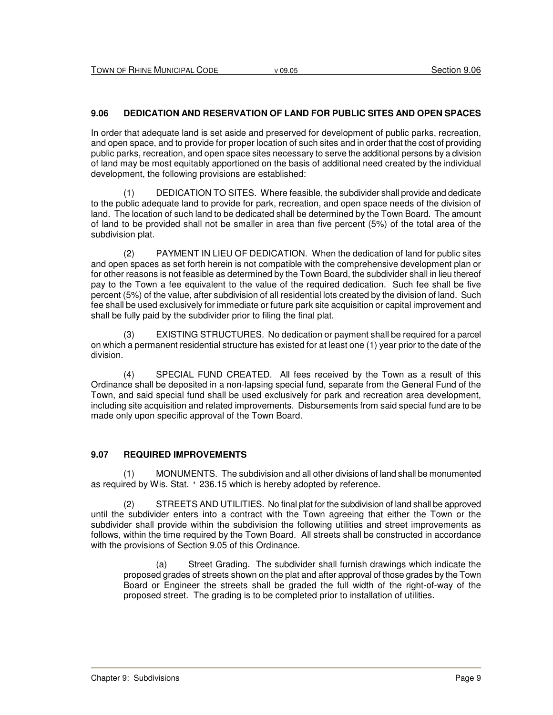### **9.06 DEDICATION AND RESERVATION OF LAND FOR PUBLIC SITES AND OPEN SPACES**

In order that adequate land is set aside and preserved for development of public parks, recreation, and open space, and to provide for proper location of such sites and in order that the cost of providing public parks, recreation, and open space sites necessary to serve the additional persons by a division of land may be most equitably apportioned on the basis of additional need created by the individual development, the following provisions are established:

(1) DEDICATION TO SITES. Where feasible, the subdivider shall provide and dedicate to the public adequate land to provide for park, recreation, and open space needs of the division of land. The location of such land to be dedicated shall be determined by the Town Board. The amount of land to be provided shall not be smaller in area than five percent (5%) of the total area of the subdivision plat.

(2) PAYMENT IN LIEU OF DEDICATION. When the dedication of land for public sites and open spaces as set forth herein is not compatible with the comprehensive development plan or for other reasons is not feasible as determined by the Town Board, the subdivider shall in lieu thereof pay to the Town a fee equivalent to the value of the required dedication. Such fee shall be five percent (5%) of the value, after subdivision of all residential lots created by the division of land. Such fee shall be used exclusively for immediate or future park site acquisition or capital improvement and shall be fully paid by the subdivider prior to filing the final plat.

(3) EXISTING STRUCTURES. No dedication or payment shall be required for a parcel on which a permanent residential structure has existed for at least one (1) year prior to the date of the division.

(4) SPECIAL FUND CREATED. All fees received by the Town as a result of this Ordinance shall be deposited in a non-lapsing special fund, separate from the General Fund of the Town, and said special fund shall be used exclusively for park and recreation area development, including site acquisition and related improvements. Disbursements from said special fund are to be made only upon specific approval of the Town Board.

## **9.07 REQUIRED IMPROVEMENTS**

(1) MONUMENTS. The subdivision and all other divisions of land shall be monumented as required by Wis. Stat. ' 236.15 which is hereby adopted by reference.

(2) STREETS AND UTILITIES. No final plat for the subdivision of land shall be approved until the subdivider enters into a contract with the Town agreeing that either the Town or the subdivider shall provide within the subdivision the following utilities and street improvements as follows, within the time required by the Town Board. All streets shall be constructed in accordance with the provisions of Section 9.05 of this Ordinance.

(a) Street Grading. The subdivider shall furnish drawings which indicate the proposed grades of streets shown on the plat and after approval of those grades by the Town Board or Engineer the streets shall be graded the full width of the right-of-way of the proposed street. The grading is to be completed prior to installation of utilities.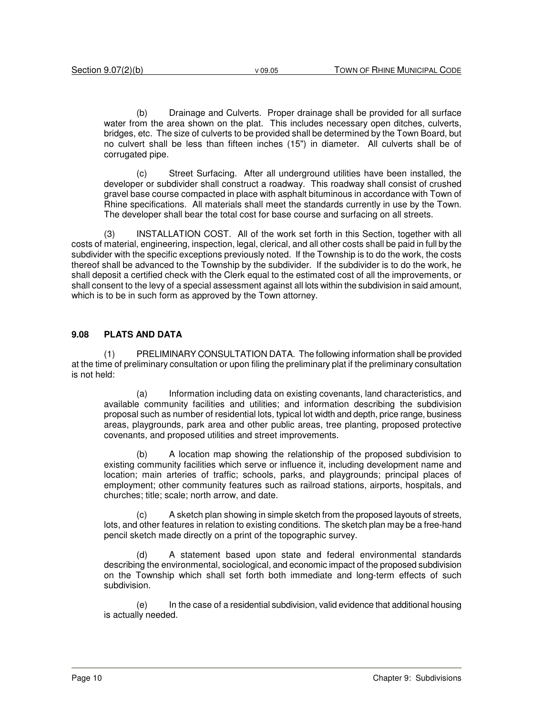(b) Drainage and Culverts. Proper drainage shall be provided for all surface water from the area shown on the plat. This includes necessary open ditches, culverts, bridges, etc. The size of culverts to be provided shall be determined by the Town Board, but no culvert shall be less than fifteen inches (15") in diameter. All culverts shall be of corrugated pipe.

(c) Street Surfacing. After all underground utilities have been installed, the developer or subdivider shall construct a roadway. This roadway shall consist of crushed gravel base course compacted in place with asphalt bituminous in accordance with Town of Rhine specifications. All materials shall meet the standards currently in use by the Town. The developer shall bear the total cost for base course and surfacing on all streets.

(3) INSTALLATION COST. All of the work set forth in this Section, together with all costs of material, engineering, inspection, legal, clerical, and all other costs shall be paid in full by the subdivider with the specific exceptions previously noted. If the Township is to do the work, the costs thereof shall be advanced to the Township by the subdivider. If the subdivider is to do the work, he shall deposit a certified check with the Clerk equal to the estimated cost of all the improvements, or shall consent to the levy of a special assessment against all lots within the subdivision in said amount, which is to be in such form as approved by the Town attorney.

## **9.08 PLATS AND DATA**

(1) PRELIMINARY CONSULTATION DATA. The following information shall be provided at the time of preliminary consultation or upon filing the preliminary plat if the preliminary consultation is not held:

(a) Information including data on existing covenants, land characteristics, and available community facilities and utilities; and information describing the subdivision proposal such as number of residential lots, typical lot width and depth, price range, business areas, playgrounds, park area and other public areas, tree planting, proposed protective covenants, and proposed utilities and street improvements.

A location map showing the relationship of the proposed subdivision to existing community facilities which serve or influence it, including development name and location; main arteries of traffic; schools, parks, and playgrounds; principal places of employment; other community features such as railroad stations, airports, hospitals, and churches; title; scale; north arrow, and date.

(c) A sketch plan showing in simple sketch from the proposed layouts of streets, lots, and other features in relation to existing conditions. The sketch plan may be a free-hand pencil sketch made directly on a print of the topographic survey.

(d) A statement based upon state and federal environmental standards describing the environmental, sociological, and economic impact of the proposed subdivision on the Township which shall set forth both immediate and long-term effects of such subdivision.

(e) In the case of a residential subdivision, valid evidence that additional housing is actually needed.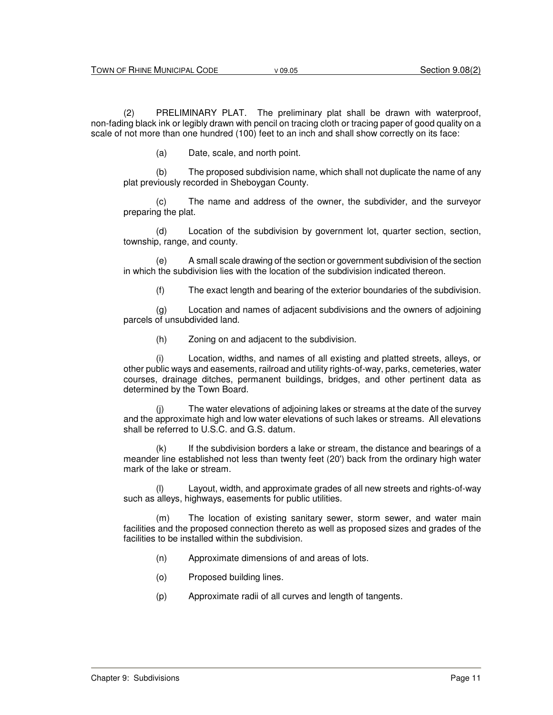(2) PRELIMINARY PLAT. The preliminary plat shall be drawn with waterproof, non-fading black ink or legibly drawn with pencil on tracing cloth or tracing paper of good quality on a scale of not more than one hundred (100) feet to an inch and shall show correctly on its face:

(a) Date, scale, and north point.

(b) The proposed subdivision name, which shall not duplicate the name of any plat previously recorded in Sheboygan County.

(c) The name and address of the owner, the subdivider, and the surveyor preparing the plat.

(d) Location of the subdivision by government lot, quarter section, section, township, range, and county.

(e) A small scale drawing of the section or government subdivision of the section in which the subdivision lies with the location of the subdivision indicated thereon.

(f) The exact length and bearing of the exterior boundaries of the subdivision.

(g) Location and names of adjacent subdivisions and the owners of adjoining parcels of unsubdivided land.

(h) Zoning on and adjacent to the subdivision.

Location, widths, and names of all existing and platted streets, alleys, or other public ways and easements, railroad and utility rights-of-way, parks, cemeteries, water courses, drainage ditches, permanent buildings, bridges, and other pertinent data as determined by the Town Board.

(j) The water elevations of adjoining lakes or streams at the date of the survey and the approximate high and low water elevations of such lakes or streams. All elevations shall be referred to U.S.C. and G.S. datum.

(k) If the subdivision borders a lake or stream, the distance and bearings of a meander line established not less than twenty feet (20') back from the ordinary high water mark of the lake or stream.

Layout, width, and approximate grades of all new streets and rights-of-way such as alleys, highways, easements for public utilities.

(m) The location of existing sanitary sewer, storm sewer, and water main facilities and the proposed connection thereto as well as proposed sizes and grades of the facilities to be installed within the subdivision.

(n) Approximate dimensions of and areas of lots.

(o) Proposed building lines.

(p) Approximate radii of all curves and length of tangents.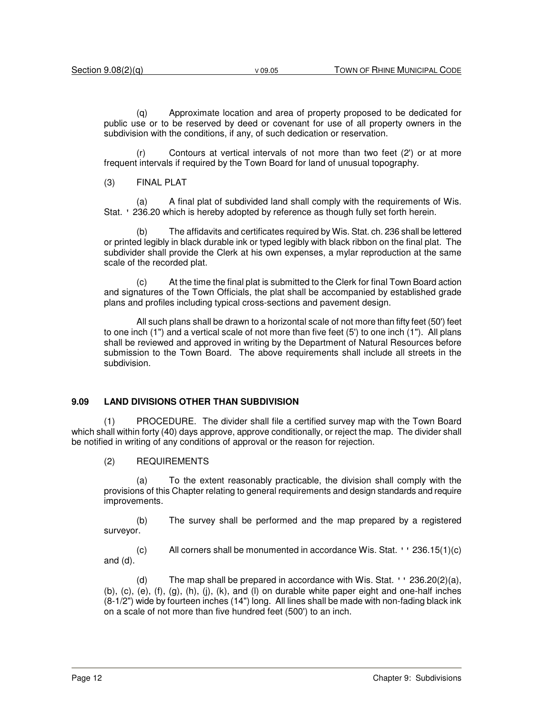(q) Approximate location and area of property proposed to be dedicated for public use or to be reserved by deed or covenant for use of all property owners in the subdivision with the conditions, if any, of such dedication or reservation.

(r) Contours at vertical intervals of not more than two feet (2') or at more frequent intervals if required by the Town Board for land of unusual topography.

(3) FINAL PLAT

(a) A final plat of subdivided land shall comply with the requirements of Wis. Stat. ' 236.20 which is hereby adopted by reference as though fully set forth herein.

(b) The affidavits and certificates required by Wis. Stat. ch. 236 shall be lettered or printed legibly in black durable ink or typed legibly with black ribbon on the final plat. The subdivider shall provide the Clerk at his own expenses, a mylar reproduction at the same scale of the recorded plat.

(c) At the time the final plat is submitted to the Clerk for final Town Board action and signatures of the Town Officials, the plat shall be accompanied by established grade plans and profiles including typical cross-sections and pavement design.

All such plans shall be drawn to a horizontal scale of not more than fifty feet (50') feet to one inch (1") and a vertical scale of not more than five feet (5') to one inch (1"). All plans shall be reviewed and approved in writing by the Department of Natural Resources before submission to the Town Board. The above requirements shall include all streets in the subdivision.

## **9.09 LAND DIVISIONS OTHER THAN SUBDIVISION**

(1) PROCEDURE. The divider shall file a certified survey map with the Town Board which shall within forty (40) days approve, approve conditionally, or reject the map. The divider shall be notified in writing of any conditions of approval or the reason for rejection.

(2) REQUIREMENTS

(a) To the extent reasonably practicable, the division shall comply with the provisions of this Chapter relating to general requirements and design standards and require improvements.

(b) The survey shall be performed and the map prepared by a registered surveyor.

(c) All corners shall be monumented in accordance Wis. Stat. '' 236.15(1)(c) and (d).

(d) The map shall be prepared in accordance with Wis. Stat. '' 236.20(2)(a), (b), (c), (e), (f), (g), (h), (j), (k), and (l) on durable white paper eight and one-half inches (8-1/2") wide by fourteen inches (14") long. All lines shall be made with non-fading black ink on a scale of not more than five hundred feet (500') to an inch.